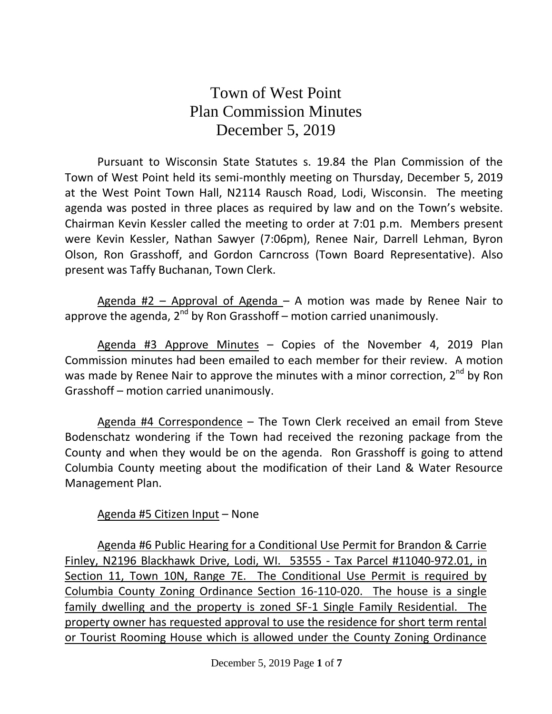## Town of West Point Plan Commission Minutes December 5, 2019

Pursuant to Wisconsin State Statutes s. 19.84 the Plan Commission of the Town of West Point held its semi-monthly meeting on Thursday, December 5, 2019 at the West Point Town Hall, N2114 Rausch Road, Lodi, Wisconsin. The meeting agenda was posted in three places as required by law and on the Town's website. Chairman Kevin Kessler called the meeting to order at 7:01 p.m. Members present were Kevin Kessler, Nathan Sawyer (7:06pm), Renee Nair, Darrell Lehman, Byron Olson, Ron Grasshoff, and Gordon Carncross (Town Board Representative). Also present was Taffy Buchanan, Town Clerk.

Agenda  $#2$  – Approval of Agenda – A motion was made by Renee Nair to approve the agenda, 2<sup>nd</sup> by Ron Grasshoff – motion carried unanimously.

Agenda #3 Approve Minutes - Copies of the November 4, 2019 Plan Commission minutes had been emailed to each member for their review. A motion was made by Renee Nair to approve the minutes with a minor correction,  $2^{nd}$  by Ron Grasshoff – motion carried unanimously.

Agenda #4 Correspondence – The Town Clerk received an email from Steve Bodenschatz wondering if the Town had received the rezoning package from the County and when they would be on the agenda. Ron Grasshoff is going to attend Columbia County meeting about the modification of their Land & Water Resource Management Plan.

## Agenda #5 Citizen Input – None

Agenda #6 Public Hearing for a Conditional Use Permit for Brandon & Carrie Finley, N2196 Blackhawk Drive, Lodi, WI. 53555 - Tax Parcel #11040-972.01, in Section 11, Town 10N, Range 7E. The Conditional Use Permit is required by Columbia County Zoning Ordinance Section 16-110-020. The house is a single family dwelling and the property is zoned SF-1 Single Family Residential. The property owner has requested approval to use the residence for short term rental or Tourist Rooming House which is allowed under the County Zoning Ordinance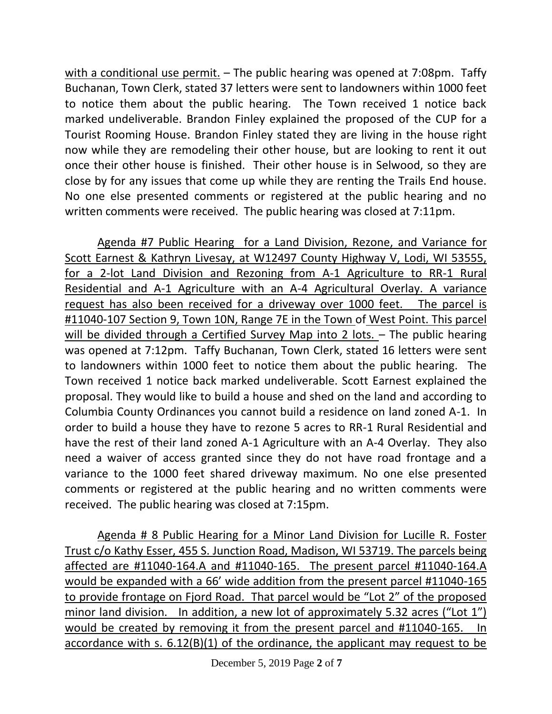with a conditional use permit. – The public hearing was opened at 7:08pm. Taffy Buchanan, Town Clerk, stated 37 letters were sent to landowners within 1000 feet to notice them about the public hearing. The Town received 1 notice back marked undeliverable. Brandon Finley explained the proposed of the CUP for a Tourist Rooming House. Brandon Finley stated they are living in the house right now while they are remodeling their other house, but are looking to rent it out once their other house is finished. Their other house is in Selwood, so they are close by for any issues that come up while they are renting the Trails End house. No one else presented comments or registered at the public hearing and no written comments were received. The public hearing was closed at 7:11pm.

Agenda #7 Public Hearing for a Land Division, Rezone, and Variance for Scott Earnest & Kathryn Livesay, at W12497 County Highway V, Lodi, WI 53555, for a 2-lot Land Division and Rezoning from A-1 Agriculture to RR-1 Rural Residential and A-1 Agriculture with an A-4 Agricultural Overlay. A variance request has also been received for a driveway over 1000 feet. The parcel is #11040-107 Section 9, Town 10N, Range 7E in the Town of West Point. This parcel will be divided through a Certified Survey Map into 2 lots. – The public hearing was opened at 7:12pm. Taffy Buchanan, Town Clerk, stated 16 letters were sent to landowners within 1000 feet to notice them about the public hearing. The Town received 1 notice back marked undeliverable. Scott Earnest explained the proposal. They would like to build a house and shed on the land and according to Columbia County Ordinances you cannot build a residence on land zoned A-1. In order to build a house they have to rezone 5 acres to RR-1 Rural Residential and have the rest of their land zoned A-1 Agriculture with an A-4 Overlay. They also need a waiver of access granted since they do not have road frontage and a variance to the 1000 feet shared driveway maximum. No one else presented comments or registered at the public hearing and no written comments were received. The public hearing was closed at 7:15pm.

Agenda # 8 Public Hearing for a Minor Land Division for Lucille R. Foster Trust c/o Kathy Esser, 455 S. Junction Road, Madison, WI 53719. The parcels being affected are #11040-164.A and #11040-165. The present parcel #11040-164.A would be expanded with a 66' wide addition from the present parcel #11040-165 to provide frontage on Fjord Road. That parcel would be "Lot 2" of the proposed minor land division. In addition, a new lot of approximately 5.32 acres ("Lot 1") would be created by removing it from the present parcel and #11040-165. In accordance with s. 6.12(B)(1) of the ordinance, the applicant may request to be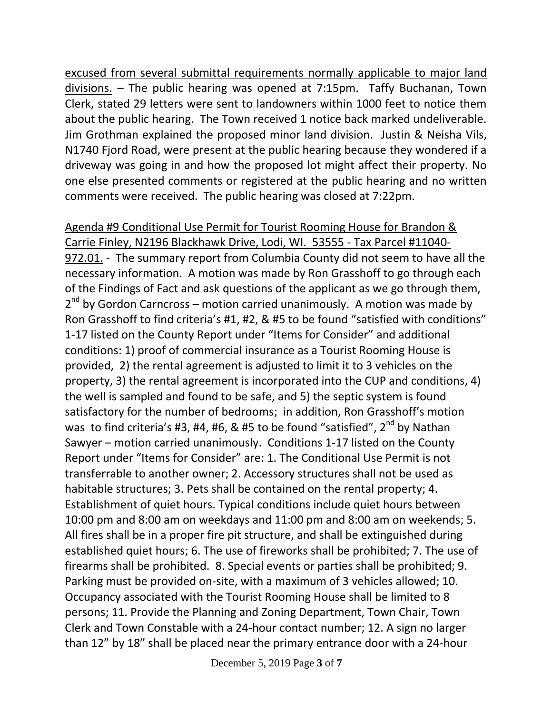excused from several submittal requirements normally applicable to major land divisions. – The public hearing was opened at 7:15pm. Taffy Buchanan, Town Clerk, stated 29 letters were sent to landowners within 1000 feet to notice them about the public hearing. The Town received 1 notice back marked undeliverable. Jim Grothman explained the proposed minor land division. Justin & Neisha Vils, N1740 Fjord Road, were present at the public hearing because they wondered if a driveway was going in and how the proposed lot might affect their property. No one else presented comments or registered at the public hearing and no written comments were received. The public hearing was closed at 7:22pm.

Agenda #9 Conditional Use Permit for Tourist Rooming House for Brandon & Carrie Finley, N2196 Blackhawk Drive, Lodi, WI. 53555 - Tax Parcel #11040- 972.01. - The summary report from Columbia County did not seem to have all the necessary information. A motion was made by Ron Grasshoff to go through each of the Findings of Fact and ask questions of the applicant as we go through them, 2<sup>nd</sup> by Gordon Carncross – motion carried unanimously. A motion was made by Ron Grasshoff to find criteria's #1, #2, & #5 to be found "satisfied with conditions" 1-17 listed on the County Report under "Items for Consider" and additional conditions: 1) proof of commercial insurance as a Tourist Rooming House is provided, 2) the rental agreement is adjusted to limit it to 3 vehicles on the property, 3) the rental agreement is incorporated into the CUP and conditions, 4) the well is sampled and found to be safe, and 5) the septic system is found satisfactory for the number of bedrooms; in addition, Ron Grasshoff's motion was to find criteria's #3, #4, #6, & #5 to be found "satisfied", 2<sup>nd</sup> by Nathan Sawyer – motion carried unanimously. Conditions 1-17 listed on the County Report under "Items for Consider" are: 1. The Conditional Use Permit is not transferrable to another owner; 2. Accessory structures shall not be used as habitable structures; 3. Pets shall be contained on the rental property; 4. Establishment of quiet hours. Typical conditions include quiet hours between 10:00 pm and 8:00 am on weekdays and 11:00 pm and 8:00 am on weekends; 5. All fires shall be in a proper fire pit structure, and shall be extinguished during established quiet hours; 6. The use of fireworks shall be prohibited; 7. The use of firearms shall be prohibited. 8. Special events or parties shall be prohibited; 9. Parking must be provided on-site, with a maximum of 3 vehicles allowed; 10. Occupancy associated with the Tourist Rooming House shall be limited to 8 persons; 11. Provide the Planning and Zoning Department, Town Chair, Town Clerk and Town Constable with a 24-hour contact number; 12. A sign no larger than 12" by 18" shall be placed near the primary entrance door with a 24-hour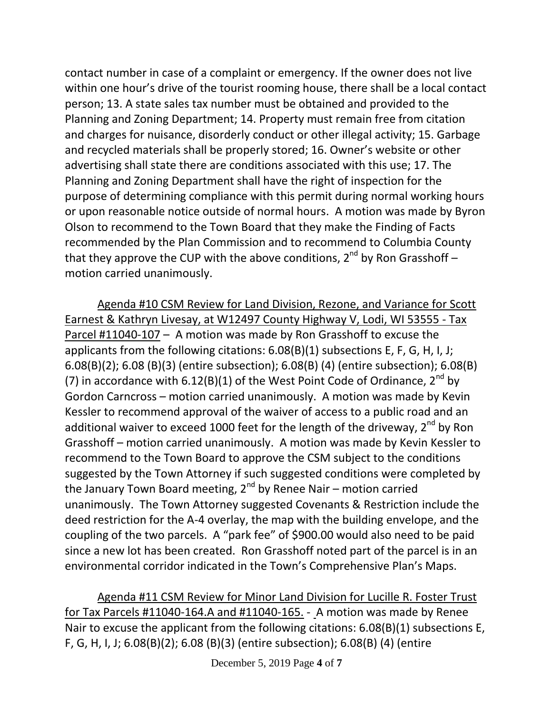contact number in case of a complaint or emergency. If the owner does not live within one hour's drive of the tourist rooming house, there shall be a local contact person; 13. A state sales tax number must be obtained and provided to the Planning and Zoning Department; 14. Property must remain free from citation and charges for nuisance, disorderly conduct or other illegal activity; 15. Garbage and recycled materials shall be properly stored; 16. Owner's website or other advertising shall state there are conditions associated with this use; 17. The Planning and Zoning Department shall have the right of inspection for the purpose of determining compliance with this permit during normal working hours or upon reasonable notice outside of normal hours. A motion was made by Byron Olson to recommend to the Town Board that they make the Finding of Facts recommended by the Plan Commission and to recommend to Columbia County that they approve the CUP with the above conditions,  $2^{nd}$  by Ron Grasshoff – motion carried unanimously.

Agenda #10 CSM Review for Land Division, Rezone, and Variance for Scott Earnest & Kathryn Livesay, at W12497 County Highway V, Lodi, WI 53555 - Tax Parcel #11040-107 – A motion was made by Ron Grasshoff to excuse the applicants from the following citations: 6.08(B)(1) subsections E, F, G, H, I, J; 6.08(B)(2); 6.08 (B)(3) (entire subsection); 6.08(B) (4) (entire subsection); 6.08(B) (7) in accordance with  $6.12(B)(1)$  of the West Point Code of Ordinance,  $2^{nd}$  by Gordon Carncross – motion carried unanimously. A motion was made by Kevin Kessler to recommend approval of the waiver of access to a public road and an additional waiver to exceed 1000 feet for the length of the driveway,  $2^{nd}$  by Ron Grasshoff – motion carried unanimously. A motion was made by Kevin Kessler to recommend to the Town Board to approve the CSM subject to the conditions suggested by the Town Attorney if such suggested conditions were completed by the January Town Board meeting,  $2^{nd}$  by Renee Nair – motion carried unanimously. The Town Attorney suggested Covenants & Restriction include the deed restriction for the A-4 overlay, the map with the building envelope, and the coupling of the two parcels. A "park fee" of \$900.00 would also need to be paid since a new lot has been created. Ron Grasshoff noted part of the parcel is in an environmental corridor indicated in the Town's Comprehensive Plan's Maps.

Agenda #11 CSM Review for Minor Land Division for Lucille R. Foster Trust for Tax Parcels #11040-164.A and #11040-165. - A motion was made by Renee Nair to excuse the applicant from the following citations: 6.08(B)(1) subsections E, F, G, H, I, J; 6.08(B)(2); 6.08 (B)(3) (entire subsection); 6.08(B) (4) (entire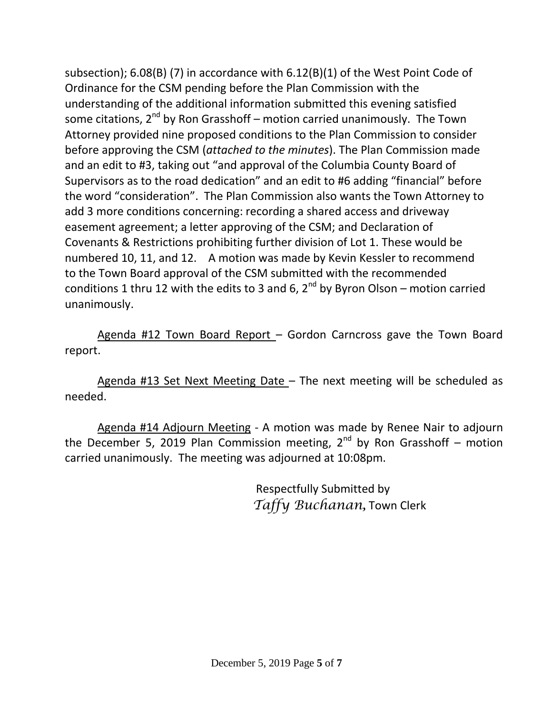subsection); 6.08(B) (7) in accordance with 6.12(B)(1) of the West Point Code of Ordinance for the CSM pending before the Plan Commission with the understanding of the additional information submitted this evening satisfied some citations,  $2^{nd}$  by Ron Grasshoff – motion carried unanimously. The Town Attorney provided nine proposed conditions to the Plan Commission to consider before approving the CSM (*attached to the minutes*). The Plan Commission made and an edit to #3, taking out "and approval of the Columbia County Board of Supervisors as to the road dedication" and an edit to #6 adding "financial" before the word "consideration". The Plan Commission also wants the Town Attorney to add 3 more conditions concerning: recording a shared access and driveway easement agreement; a letter approving of the CSM; and Declaration of Covenants & Restrictions prohibiting further division of Lot 1. These would be numbered 10, 11, and 12. A motion was made by Kevin Kessler to recommend to the Town Board approval of the CSM submitted with the recommended conditions 1 thru 12 with the edits to 3 and 6,  $2^{nd}$  by Byron Olson – motion carried unanimously.

Agenda #12 Town Board Report – Gordon Carncross gave the Town Board report.

Agenda #13 Set Next Meeting Date – The next meeting will be scheduled as needed.

Agenda #14 Adjourn Meeting - A motion was made by Renee Nair to adjourn the December 5, 2019 Plan Commission meeting,  $2^{nd}$  by Ron Grasshoff – motion carried unanimously. The meeting was adjourned at 10:08pm.

> Respectfully Submitted by *Taffy Buchanan,* Town Clerk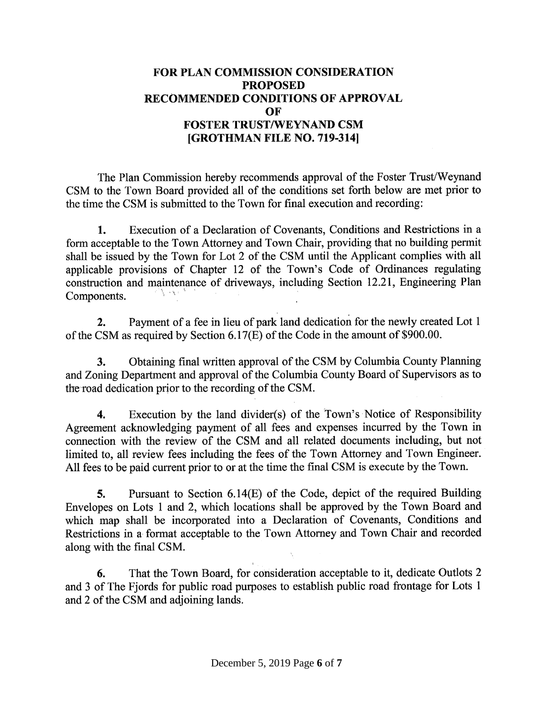## **FOR PLAN COMMISSION CONSIDERATION PROPOSED RECOMMENDED CONDITIONS OF APPROVAL** OF **FOSTER TRUST/WEYNAND CSM** [GROTHMAN FILE NO. 719-314]

The Plan Commission hereby recommends approval of the Foster Trust/Weynand CSM to the Town Board provided all of the conditions set forth below are met prior to the time the CSM is submitted to the Town for final execution and recording:

Execution of a Declaration of Covenants, Conditions and Restrictions in a 1. form acceptable to the Town Attorney and Town Chair, providing that no building permit shall be issued by the Town for Lot 2 of the CSM until the Applicant complies with all applicable provisions of Chapter 12 of the Town's Code of Ordinances regulating construction and maintenance of driveways, including Section 12.21, Engineering Plan Components.

Payment of a fee in lieu of park land dedication for the newly created Lot 1  $2.$ of the CSM as required by Section 6.17(E) of the Code in the amount of \$900.00.

Obtaining final written approval of the CSM by Columbia County Planning 3. and Zoning Department and approval of the Columbia County Board of Supervisors as to the road dedication prior to the recording of the CSM.

Execution by the land divider(s) of the Town's Notice of Responsibility 4. Agreement acknowledging payment of all fees and expenses incurred by the Town in connection with the review of the CSM and all related documents including, but not limited to, all review fees including the fees of the Town Attorney and Town Engineer. All fees to be paid current prior to or at the time the final CSM is execute by the Town.

Pursuant to Section 6.14(E) of the Code, depict of the required Building 5. Envelopes on Lots 1 and 2, which locations shall be approved by the Town Board and which map shall be incorporated into a Declaration of Covenants, Conditions and Restrictions in a format acceptable to the Town Attorney and Town Chair and recorded along with the final CSM.

That the Town Board, for consideration acceptable to it, dedicate Outlots 2 6. and 3 of The Fjords for public road purposes to establish public road frontage for Lots 1 and 2 of the CSM and adjoining lands.